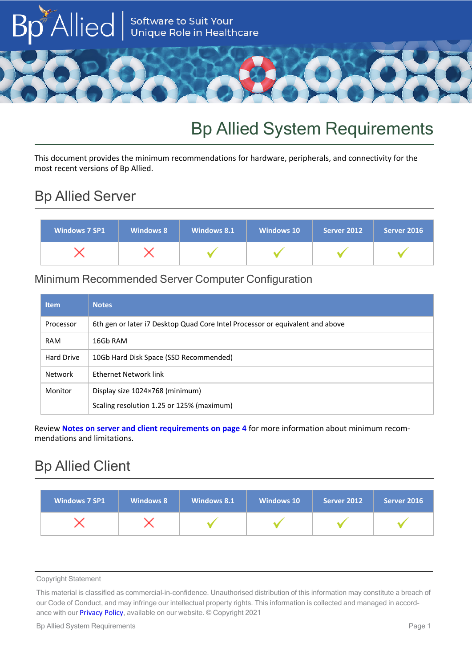

# Bp Allied System Requirements

This document provides the minimum recommendations for hardware, peripherals, and connectivity for the most recent versions of Bp Allied.

# Bp Allied Server

| Windows 7 SP1 | <b>Windows 8</b> | Windows 8.1 | <b>Windows 10</b> | Server 2012 | Server 2016 |
|---------------|------------------|-------------|-------------------|-------------|-------------|
|               |                  |             |                   |             |             |

## Minimum Recommended Server Computer Configuration

| <b>Item</b>       | <b>Notes</b>                                                                  |
|-------------------|-------------------------------------------------------------------------------|
| Processor         | 6th gen or later i7 Desktop Quad Core Intel Processor or equivalent and above |
| <b>RAM</b>        | 16Gb RAM                                                                      |
| <b>Hard Drive</b> | 10Gb Hard Disk Space (SSD Recommended)                                        |
| Network           | Ethernet Network link                                                         |
| Monitor           | Display size 1024×768 (minimum)                                               |
|                   | Scaling resolution 1.25 or 125% (maximum)                                     |

Review **Notes on server and client [requirements](#page-3-0) on page 4** for more information about minimum recommendations and limitations.

# Bp Allied Client

| <b>Windows 7 SP1</b> | <b>Windows 8</b> | Windows 8.1 | <b>Windows 10</b> | Server 2012 | Server 2016 |
|----------------------|------------------|-------------|-------------------|-------------|-------------|
|                      |                  |             |                   |             |             |

Copyright Statement

This material is classified as commercial-in-confidence. Unauthorised distribution of this information may constitute a breach of our Code of Conduct, and may infringe our intellectual property rights. This information is collected and managed in accordance with our **[Privacy](https://bpsoftware.net/privacy-policy/) Policy**, available on our website. © Copyright 2021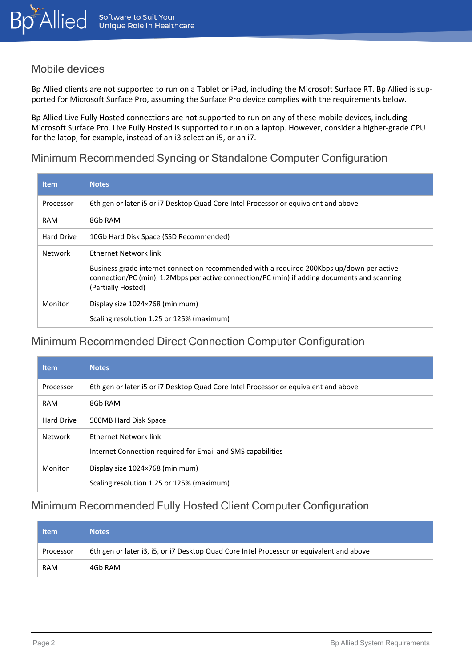#### Mobile devices

Bp Allied clients are not supported to run on a Tablet or iPad, including the Microsoft Surface RT. Bp Allied is supported for Microsoft Surface Pro, assuming the Surface Pro device complies with the requirements below.

Bp Allied Live Fully Hosted connections are not supported to run on any of these mobile devices, including Microsoft Surface Pro. Live Fully Hosted is supported to run on a laptop. However, consider a higher-grade CPU for the latop, for example, instead of an i3 select an i5, or an i7.

#### Minimum Recommended Syncing or Standalone Computer Configuration

| <b>Item</b> | <b>Notes</b>                                                                                                                                                                                                    |  |
|-------------|-----------------------------------------------------------------------------------------------------------------------------------------------------------------------------------------------------------------|--|
| Processor   | 6th gen or later i5 or i7 Desktop Quad Core Intel Processor or equivalent and above                                                                                                                             |  |
| <b>RAM</b>  | 8Gb RAM                                                                                                                                                                                                         |  |
| Hard Drive  | 10Gb Hard Disk Space (SSD Recommended)                                                                                                                                                                          |  |
| Network     | Ethernet Network link                                                                                                                                                                                           |  |
|             | Business grade internet connection recommended with a required 200Kbps up/down per active<br>connection/PC (min), 1.2Mbps per active connection/PC (min) if adding documents and scanning<br>(Partially Hosted) |  |
| Monitor     | Display size 1024×768 (minimum)                                                                                                                                                                                 |  |
|             | Scaling resolution 1.25 or 125% (maximum)                                                                                                                                                                       |  |

### Minimum Recommended Direct Connection Computer Configuration

| <b>Item</b>       | <b>Notes</b>                                                                                |
|-------------------|---------------------------------------------------------------------------------------------|
| Processor         | 6th gen or later i5 or i7 Desktop Quad Core Intel Processor or equivalent and above         |
| <b>RAM</b>        | 8Gb RAM                                                                                     |
| <b>Hard Drive</b> | 500MB Hard Disk Space                                                                       |
| Network           | <b>Fthernet Network link</b><br>Internet Connection required for Email and SMS capabilities |
| Monitor           | Display size 1024×768 (minimum)<br>Scaling resolution 1.25 or 125% (maximum)                |

### Minimum Recommended Fully Hosted Client Computer Configuration

| <b>Item</b> | <b>Notes</b>                                                                             |
|-------------|------------------------------------------------------------------------------------------|
| Processor   | 6th gen or later i3, i5, or i7 Desktop Quad Core Intel Processor or equivalent and above |
| <b>RAM</b>  | 4Gb RAM                                                                                  |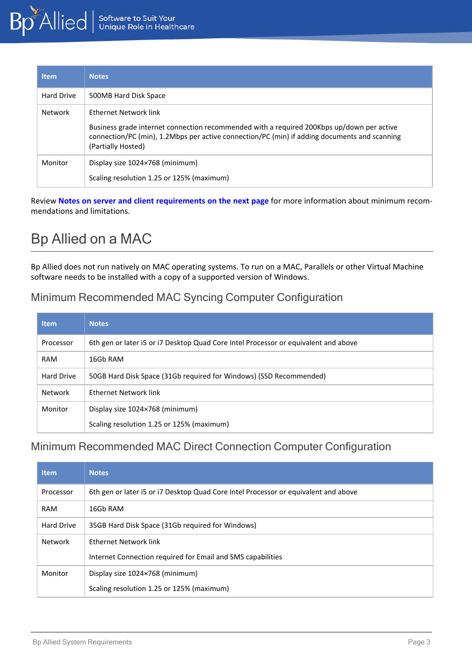| <b>Item</b> | <b>Notes</b>                                                                                                                                                                                                                             |
|-------------|------------------------------------------------------------------------------------------------------------------------------------------------------------------------------------------------------------------------------------------|
| Hard Drive  | 500MB Hard Disk Space                                                                                                                                                                                                                    |
| Network     | Ethernet Network link<br>Business grade internet connection recommended with a required 200Kbps up/down per active<br>connection/PC (min), 1.2Mbps per active connection/PC (min) if adding documents and scanning<br>(Partially Hosted) |
| Monitor     | Display size 1024×768 (minimum)<br>Scaling resolution 1.25 or 125% (maximum)                                                                                                                                                             |

Review **Notes on server and client [requirements](#page-3-0) on the next page** for more information about minimum recommendations and limitations.

# Bp Allied on a MAC

Bp Allied does not run natively on MAC operating systems. To run on a MAC, Parallels or other Virtual Machine software needs to be installed with a copy of a supported version of Windows.

### Minimum Recommended MAC Syncing Computer Configuration

| <b>Item</b>       | <b>Notes</b>                                                                        |
|-------------------|-------------------------------------------------------------------------------------|
| Processor         | 6th gen or later i5 or i7 Desktop Quad Core Intel Processor or equivalent and above |
| <b>RAM</b>        | 16Gb RAM                                                                            |
| <b>Hard Drive</b> | 50GB Hard Disk Space (31Gb required for Windows) (SSD Recommended)                  |
| Network           | Ethernet Network link                                                               |
| Monitor           | Display size 1024×768 (minimum)                                                     |
|                   | Scaling resolution 1.25 or 125% (maximum)                                           |

### Minimum Recommended MAC Direct Connection Computer Configuration

| <b>Item</b>       | <b>Notes</b>                                                                         |
|-------------------|--------------------------------------------------------------------------------------|
| Processor         | 6th gen or later i5 or i7 Desktop Quad Core Intel Processor or equivalent and above  |
| <b>RAM</b>        | 16Gb RAM                                                                             |
| <b>Hard Drive</b> | 35GB Hard Disk Space (31Gb required for Windows)                                     |
| Network           | Ethernet Network link<br>Internet Connection required for Email and SMS capabilities |
| Monitor           | Display size 1024×768 (minimum)<br>Scaling resolution 1.25 or 125% (maximum)         |